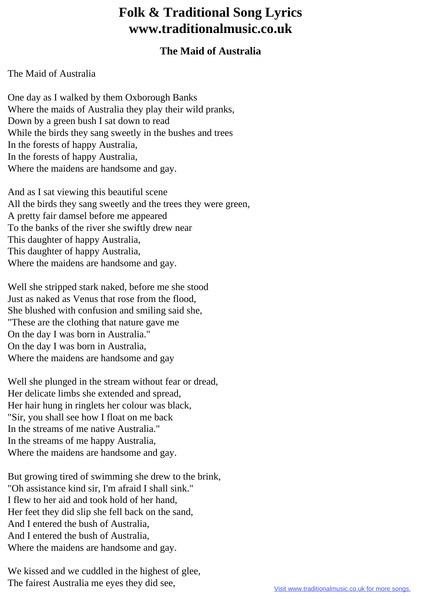## **Folk & Traditional Song Lyrics www.traditionalmusic.co.uk**

## **The Maid of Australia**

The Maid of Australia

One day as I walked by them Oxborough Banks Where the maids of Australia they play their wild pranks, Down by a green bush I sat down to read While the birds they sang sweetly in the bushes and trees In the forests of happy Australia, In the forests of happy Australia, Where the maidens are handsome and gay.

And as I sat viewing this beautiful scene All the birds they sang sweetly and the trees they were green, A pretty fair damsel before me appeared To the banks of the river she swiftly drew near This daughter of happy Australia, This daughter of happy Australia, Where the maidens are handsome and gay.

Well she stripped stark naked, before me she stood Just as naked as Venus that rose from the flood, She blushed with confusion and smiling said she, "These are the clothing that nature gave me On the day I was born in Australia." On the day I was born in Australia, Where the maidens are handsome and gay

Well she plunged in the stream without fear or dread, Her delicate limbs she extended and spread, Her hair hung in ringlets her colour was black, "Sir, you shall see how I float on me back In the streams of me native Australia." In the streams of me happy Australia, Where the maidens are handsome and gay.

But growing tired of swimming she drew to the brink, "Oh assistance kind sir, I'm afraid I shall sink." I flew to her aid and took hold of her hand, Her feet they did slip she fell back on the sand, And I entered the bush of Australia, And I entered the bush of Australia, Where the maidens are handsome and gay.

We kissed and we cuddled in the highest of glee, The fairest Australia me eyes they did see,